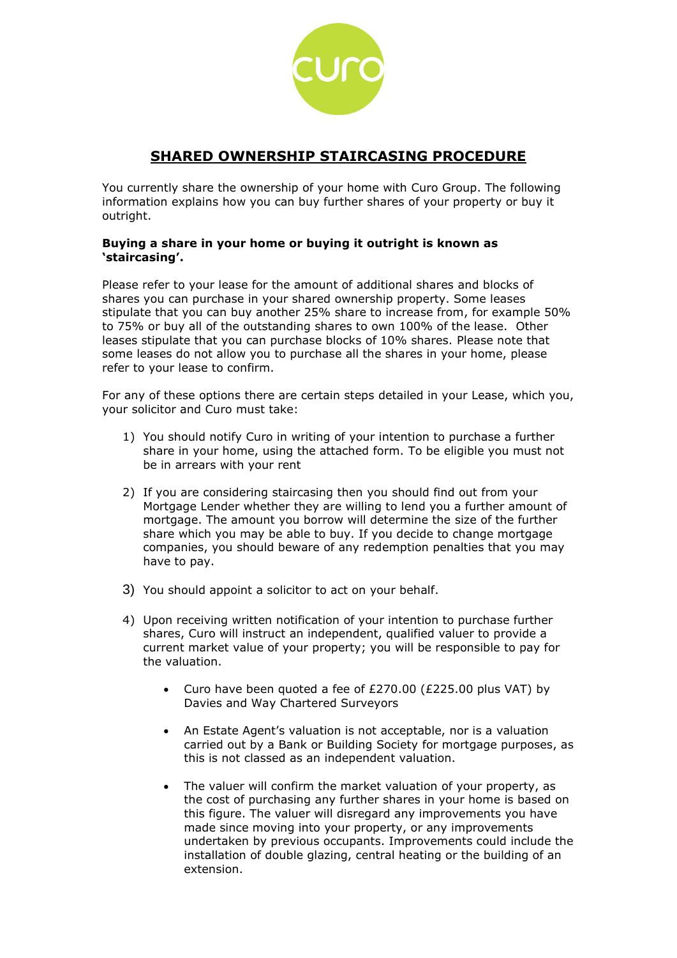

# **SHARED OWNERSHIP STAIRCASING PROCEDURE**

You currently share the ownership of your home with Curo Group. The following information explains how you can buy further shares of your property or buy it outright.

## **Buying a share in your home or buying it outright is known as 'staircasing'.**

Please refer to your lease for the amount of additional shares and blocks of shares you can purchase in your shared ownership property. Some leases stipulate that you can buy another 25% share to increase from, for example 50% to 75% or buy all of the outstanding shares to own 100% of the lease. Other leases stipulate that you can purchase blocks of 10% shares. Please note that some leases do not allow you to purchase all the shares in your home, please refer to your lease to confirm.

For any of these options there are certain steps detailed in your Lease, which you, your solicitor and Curo must take:

- 1) You should notify Curo in writing of your intention to purchase a further share in your home, using the attached form. To be eligible you must not be in arrears with your rent
- 2) If you are considering staircasing then you should find out from your Mortgage Lender whether they are willing to lend you a further amount of mortgage. The amount you borrow will determine the size of the further share which you may be able to buy. If you decide to change mortgage companies, you should beware of any redemption penalties that you may have to pay.
- 3) You should appoint a solicitor to act on your behalf.
- 4) Upon receiving written notification of your intention to purchase further shares, Curo will instruct an independent, qualified valuer to provide a current market value of your property; you will be responsible to pay for the valuation.
	- Curo have been quoted a fee of  $E270.00$  ( $E225.00$  plus VAT) by Davies and Way Chartered Surveyors
	- An Estate Agent's valuation is not acceptable, nor is a valuation carried out by a Bank or Building Society for mortgage purposes, as this is not classed as an independent valuation.
	- The valuer will confirm the market valuation of your property, as the cost of purchasing any further shares in your home is based on this figure. The valuer will disregard any improvements you have made since moving into your property, or any improvements undertaken by previous occupants. Improvements could include the installation of double glazing, central heating or the building of an extension.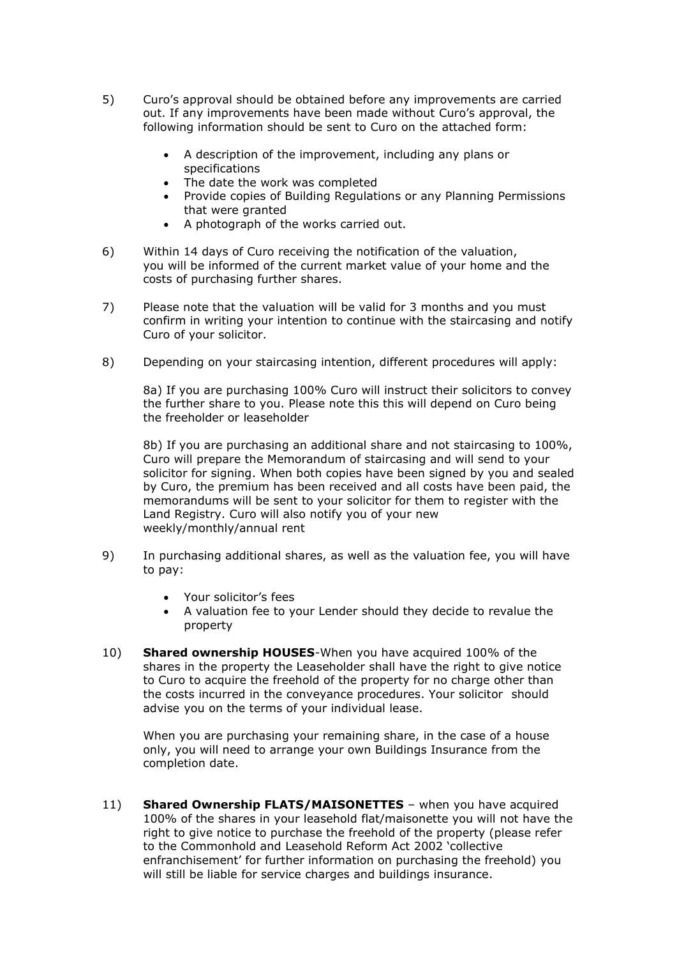- 5) Curo's approval should be obtained before any improvements are carried out. If any improvements have been made without Curo's approval, the following information should be sent to Curo on the attached form:
	- A description of the improvement, including any plans or specifications
	- The date the work was completed
	- Provide copies of Building Regulations or any Planning Permissions that were granted
	- A photograph of the works carried out.
- 6) Within 14 days of Curo receiving the notification of the valuation, you will be informed of the current market value of your home and the costs of purchasing further shares.
- 7) Please note that the valuation will be valid for 3 months and you must confirm in writing your intention to continue with the staircasing and notify Curo of your solicitor.
- 8) Depending on your staircasing intention, different procedures will apply:

8a) If you are purchasing 100% Curo will instruct their solicitors to convey the further share to you. Please note this this will depend on Curo being the freeholder or leaseholder

8b) If you are purchasing an additional share and not staircasing to 100%, Curo will prepare the Memorandum of staircasing and will send to your solicitor for signing. When both copies have been signed by you and sealed by Curo, the premium has been received and all costs have been paid, the memorandums will be sent to your solicitor for them to register with the Land Registry. Curo will also notify you of your new weekly/monthly/annual rent

- 9) In purchasing additional shares, as well as the valuation fee, you will have to pay:
	- Your solicitor's fees
	- A valuation fee to your Lender should they decide to revalue the property
- 10) **Shared ownership HOUSES**-When you have acquired 100% of the shares in the property the Leaseholder shall have the right to give notice to Curo to acquire the freehold of the property for no charge other than the costs incurred in the conveyance procedures. Your solicitor should advise you on the terms of your individual lease.

When you are purchasing your remaining share, in the case of a house only, you will need to arrange your own Buildings Insurance from the completion date.

11) **Shared Ownership FLATS/MAISONETTES** – when you have acquired 100% of the shares in your leasehold flat/maisonette you will not have the right to give notice to purchase the freehold of the property (please refer to the Commonhold and Leasehold Reform Act 2002 'collective enfranchisement' for further information on purchasing the freehold) you will still be liable for service charges and buildings insurance.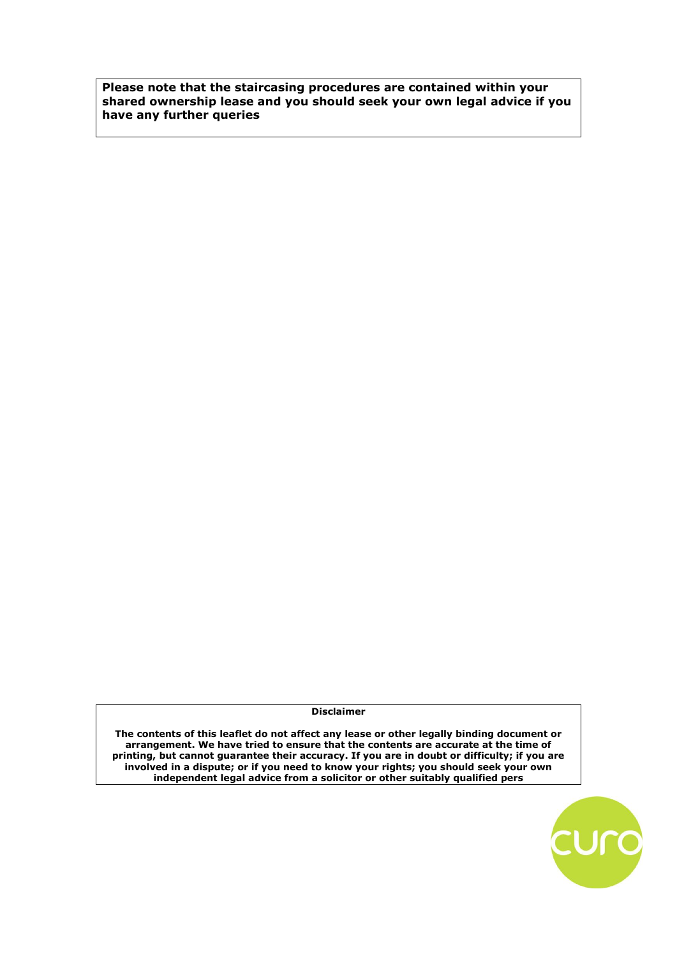**Please note that the staircasing procedures are contained within your shared ownership lease and you should seek your own legal advice if you have any further queries**

**Disclaimer**

**The contents of this leaflet do not affect any lease or other legally binding document or arrangement. We have tried to ensure that the contents are accurate at the time of printing, but cannot guarantee their accuracy. If you are in doubt or difficulty; if you are involved in a dispute; or if you need to know your rights; you should seek your own independent legal advice from a solicitor or other suitably qualified pers**